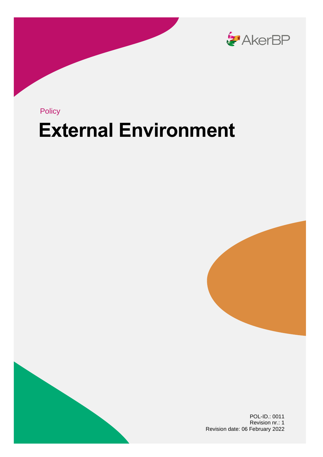

# **External Environment** Policy





POL-ID.: 0011 Revision nr.: 1 Revision date: 06 February 2022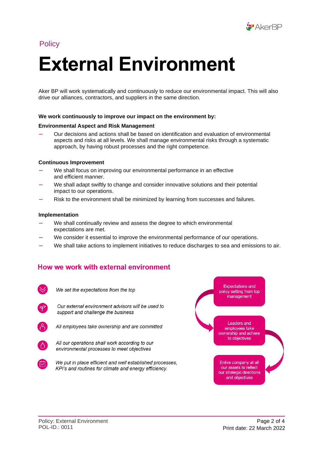

# **Policy**

# **External Environment**

Aker BP will work systematically and continuously to reduce our environmental impact. This will also drive our alliances, contractors, and suppliers in the same direction.

#### **We work continuously to improve our impact on the environment by:**

#### **Environmental Aspect and Risk Management**

— Our decisions and actions shall be based on identification and evaluation of environmental aspects and risks at all levels. We shall manage environmental risks through a systematic approach, by having robust processes and the right competence.

#### **Continuous Improvement**

- We shall focus on improving our environmental performance in an effective and efficient manner.
- We shall adapt swiftly to change and consider innovative solutions and their potential impact to our operations.
- Risk to the environment shall be minimized by learning from successes and failures.

#### **Implementation**

- We shall continually review and assess the degree to which environmental expectations are met.
- We consider it essential to improve the environmental performance of our operations.
- We shall take actions to implement initiatives to reduce discharges to sea and emissions to air.

#### How we work with external environment

We set the expectations from the top



Our external environment advisors will be used to support and challenge the business



All employees take ownership and are committed



All our operations shall work according to our environmental processes to meet objectives



We put in place efficient and well established processes, KPI's and routines for climate and energy efficiency.

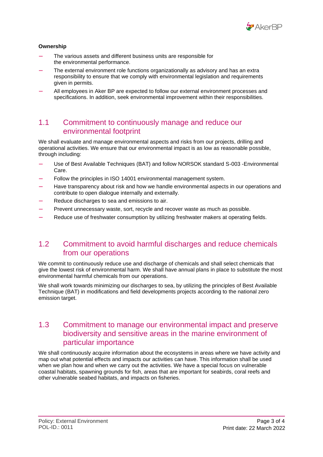

#### **Ownership**

- The various assets and different business units are responsible for the environmental performance.
- The external environment role functions organizationally as advisory and has an extra responsibility to ensure that we comply with environmental legislation and requirements given in permits.
- All employees in Aker BP are expected to follow our external environment processes and specifications. In addition, seek environmental improvement within their responsibilities.

### 1.1 Commitment to continuously manage and reduce our environmental footprint

We shall evaluate and manage environmental aspects and risks from our projects, drilling and operational activities. We ensure that our environmental impact is as low as reasonable possible, through including:

- Use of Best Available Techniques (BAT) and follow NORSOK standard S-003 -Environmental Care.
- Follow the principles in ISO 14001 environmental management system.
- Have transparency about risk and how we handle environmental aspects in our operations and contribute to open dialogue internally and externally.
- Reduce discharges to sea and emissions to air.
- Prevent unnecessary waste, sort, recycle and recover waste as much as possible.
- Reduce use of freshwater consumption by utilizing freshwater makers at operating fields.

# 1.2 Commitment to avoid harmful discharges and reduce chemicals from our operations

We commit to continuously reduce use and discharge of chemicals and shall select chemicals that give the lowest risk of environmental harm. We shall have annual plans in place to substitute the most environmental harmful chemicals from our operations.

We shall work towards minimizing our discharges to sea, by utilizing the principles of Best Available Technique (BAT) in modifications and field developments projects according to the national zero emission target.

# 1.3 Commitment to manage our environmental impact and preserve biodiversity and sensitive areas in the marine environment of particular importance

We shall continuously acquire information about the ecosystems in areas where we have activity and map out what potential effects and impacts our activities can have. This information shall be used when we plan how and when we carry out the activities. We have a special focus on vulnerable coastal habitats, spawning grounds for fish, areas that are important for seabirds, coral reefs and other vulnerable seabed habitats, and impacts on fisheries.